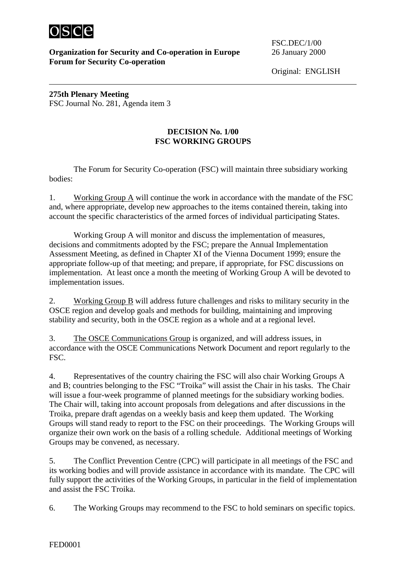

 $\overline{a}$ 

## **Organization for Security and Co-operation in Europe** 26 January 2000 **Forum for Security Co-operation**

FSC.DEC/1/00

Original: ENGLISH

**275th Plenary Meeting** FSC Journal No. 281, Agenda item 3

## **DECISION No. 1/00 FSC WORKING GROUPS**

The Forum for Security Co-operation (FSC) will maintain three subsidiary working bodies:

1. Working Group A will continue the work in accordance with the mandate of the FSC and, where appropriate, develop new approaches to the items contained therein, taking into account the specific characteristics of the armed forces of individual participating States.

Working Group A will monitor and discuss the implementation of measures, decisions and commitments adopted by the FSC; prepare the Annual Implementation Assessment Meeting, as defined in Chapter XI of the Vienna Document 1999; ensure the appropriate follow-up of that meeting; and prepare, if appropriate, for FSC discussions on implementation. At least once a month the meeting of Working Group A will be devoted to implementation issues.

2. Working Group B will address future challenges and risks to military security in the OSCE region and develop goals and methods for building, maintaining and improving stability and security, both in the OSCE region as a whole and at a regional level.

3. The OSCE Communications Group is organized, and will address issues, in accordance with the OSCE Communications Network Document and report regularly to the FSC.

4. Representatives of the country chairing the FSC will also chair Working Groups A and B; countries belonging to the FSC "Troika" will assist the Chair in his tasks. The Chair will issue a four-week programme of planned meetings for the subsidiary working bodies. The Chair will, taking into account proposals from delegations and after discussions in the Troika, prepare draft agendas on a weekly basis and keep them updated. The Working Groups will stand ready to report to the FSC on their proceedings. The Working Groups will organize their own work on the basis of a rolling schedule. Additional meetings of Working Groups may be convened, as necessary.

5. The Conflict Prevention Centre (CPC) will participate in all meetings of the FSC and its working bodies and will provide assistance in accordance with its mandate. The CPC will fully support the activities of the Working Groups, in particular in the field of implementation and assist the FSC Troika.

6. The Working Groups may recommend to the FSC to hold seminars on specific topics.